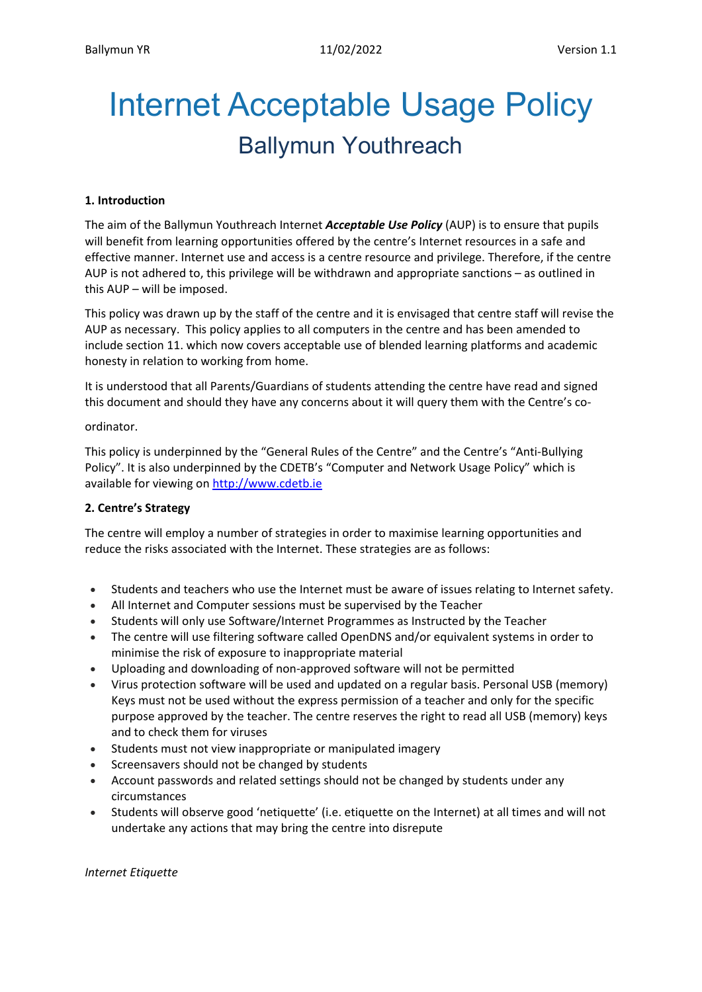# Internet Acceptable Usage Policy Ballymun Youthreach

# **1. Introduction**

The aim of the Ballymun Youthreach Internet *Acceptable Use Policy* (AUP) is to ensure that pupils will benefit from learning opportunities offered by the centre's Internet resources in a safe and effective manner. Internet use and access is a centre resource and privilege. Therefore, if the centre AUP is not adhered to, this privilege will be withdrawn and appropriate sanctions – as outlined in this AUP – will be imposed.

This policy was drawn up by the staff of the centre and it is envisaged that centre staff will revise the AUP as necessary. This policy applies to all computers in the centre and has been amended to include section 11. which now covers acceptable use of blended learning platforms and academic honesty in relation to working from home.

It is understood that all Parents/Guardians of students attending the centre have read and signed this document and should they have any concerns about it will query them with the Centre's co-

#### ordinator.

This policy is underpinned by the "General Rules of the Centre" and the Centre's "Anti-Bullying Policy". It is also underpinned by the CDETB's "Computer and Network Usage Policy" which is available for viewing on [http://www.cdetb.ie](http://www.cdetb.ie/)

# **2. Centre's Strategy**

The centre will employ a number of strategies in order to maximise learning opportunities and reduce the risks associated with the Internet. These strategies are as follows:

- Students and teachers who use the Internet must be aware of issues relating to Internet safety.
- All Internet and Computer sessions must be supervised by the Teacher
- Students will only use Software/Internet Programmes as Instructed by the Teacher
- The centre will use filtering software called OpenDNS and/or equivalent systems in order to minimise the risk of exposure to inappropriate material
- Uploading and downloading of non-approved software will not be permitted
- Virus protection software will be used and updated on a regular basis. Personal USB (memory) Keys must not be used without the express permission of a teacher and only for the specific purpose approved by the teacher. The centre reserves the right to read all USB (memory) keys and to check them for viruses
- Students must not view inappropriate or manipulated imagery
- Screensavers should not be changed by students
- Account passwords and related settings should not be changed by students under any circumstances
- Students will observe good 'netiquette' (i.e. etiquette on the Internet) at all times and will not undertake any actions that may bring the centre into disrepute

*Internet Etiquette*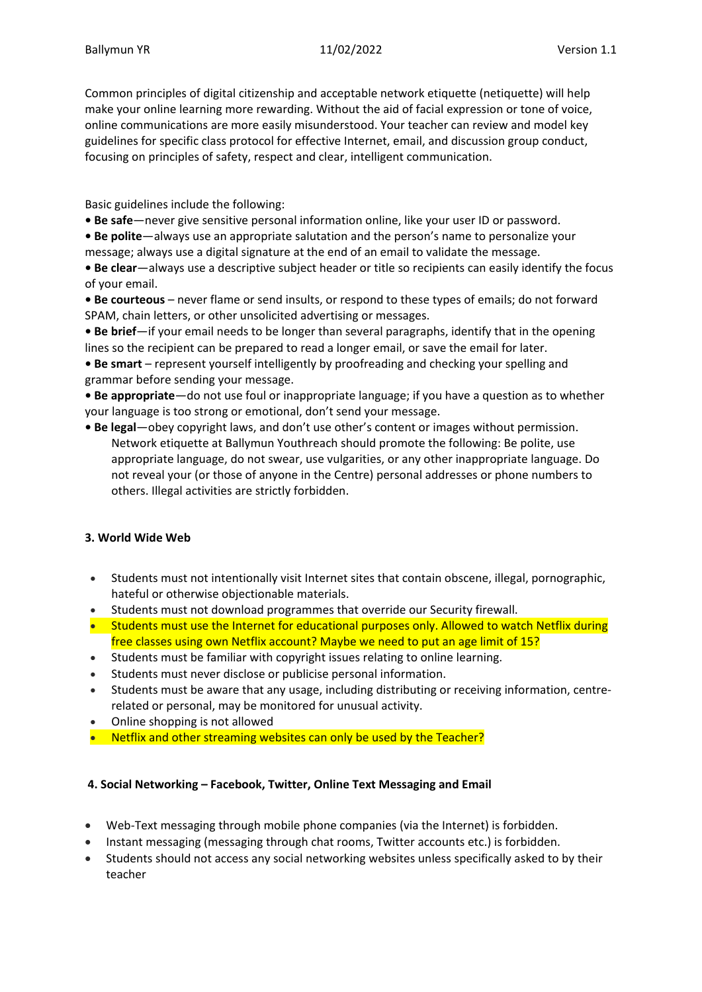Common principles of digital citizenship and acceptable network etiquette (netiquette) will help make your online learning more rewarding. Without the aid of facial expression or tone of voice, online communications are more easily misunderstood. Your teacher can review and model key guidelines for specific class protocol for effective Internet, email, and discussion group conduct, focusing on principles of safety, respect and clear, intelligent communication.

Basic guidelines include the following:

- **Be safe**—never give sensitive personal information online, like your user ID or password.
- **Be polite**—always use an appropriate salutation and the person's name to personalize your message; always use a digital signature at the end of an email to validate the message.
- **Be clear**—always use a descriptive subject header or title so recipients can easily identify the focus of your email.
- **Be courteous** never flame or send insults, or respond to these types of emails; do not forward SPAM, chain letters, or other unsolicited advertising or messages.
- **Be brief**—if your email needs to be longer than several paragraphs, identify that in the opening lines so the recipient can be prepared to read a longer email, or save the email for later.
- **Be smart** represent yourself intelligently by proofreading and checking your spelling and grammar before sending your message.
- **Be appropriate**—do not use foul or inappropriate language; if you have a question as to whether your language is too strong or emotional, don't send your message.
- **Be legal**—obey copyright laws, and don't use other's content or images without permission. Network etiquette at Ballymun Youthreach should promote the following: Be polite, use appropriate language, do not swear, use vulgarities, or any other inappropriate language. Do not reveal your (or those of anyone in the Centre) personal addresses or phone numbers to others. Illegal activities are strictly forbidden.

# **3. World Wide Web**

- Students must not intentionally visit Internet sites that contain obscene, illegal, pornographic, hateful or otherwise objectionable materials.
- Students must not download programmes that override our Security firewall.
- Students must use the Internet for educational purposes only. Allowed to watch Netflix during free classes using own Netflix account? Maybe we need to put an age limit of 15?
- Students must be familiar with copyright issues relating to online learning.
- Students must never disclose or publicise personal information.
- Students must be aware that any usage, including distributing or receiving information, centrerelated or personal, may be monitored for unusual activity.
- Online shopping is not allowed
- Netflix and other streaming websites can only be used by the Teacher?

# **4. Social Networking – Facebook, Twitter, Online Text Messaging and Email**

- Web-Text messaging through mobile phone companies (via the Internet) is forbidden.
- Instant messaging (messaging through chat rooms, Twitter accounts etc.) is forbidden.
- Students should not access any social networking websites unless specifically asked to by their teacher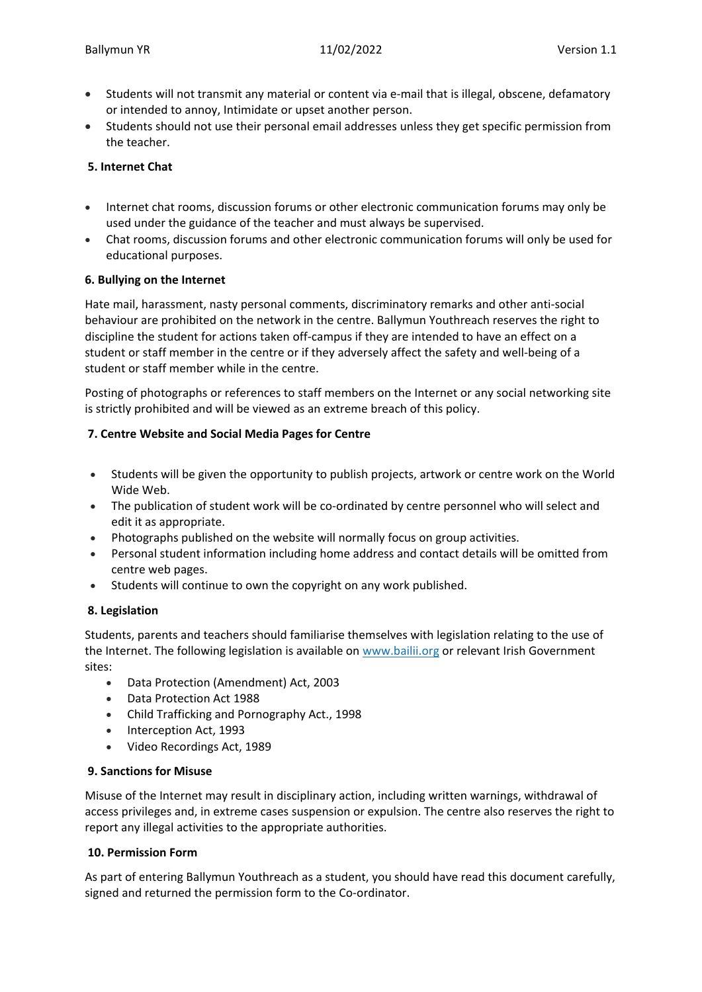- Students will not transmit any material or content via e-mail that is illegal, obscene, defamatory or intended to annoy, Intimidate or upset another person.
- Students should not use their personal email addresses unless they get specific permission from the teacher.

# **5. Internet Chat**

- Internet chat rooms, discussion forums or other electronic communication forums may only be used under the guidance of the teacher and must always be supervised.
- Chat rooms, discussion forums and other electronic communication forums will only be used for educational purposes.

#### **6. Bullying on the Internet**

Hate mail, harassment, nasty personal comments, discriminatory remarks and other anti-social behaviour are prohibited on the network in the centre. Ballymun Youthreach reserves the right to discipline the student for actions taken off-campus if they are intended to have an effect on a student or staff member in the centre or if they adversely affect the safety and well-being of a student or staff member while in the centre.

Posting of photographs or references to staff members on the Internet or any social networking site is strictly prohibited and will be viewed as an extreme breach of this policy.

# **7. Centre Website and Social Media Pages for Centre**

- Students will be given the opportunity to publish projects, artwork or centre work on the World Wide Web.
- The publication of student work will be co-ordinated by centre personnel who will select and edit it as appropriate.
- Photographs published on the website will normally focus on group activities.
- Personal student information including home address and contact details will be omitted from centre web pages.
- Students will continue to own the copyright on any work published.

# **8. Legislation**

Students, parents and teachers should familiarise themselves with legislation relating to the use of the Internet. The following legislation is available on [www.bailii.org](http://www.bailii.org/) or relevant Irish Government sites:

- Data Protection (Amendment) Act, 2003
- Data Protection Act 1988
- Child Trafficking and Pornography Act., 1998
- Interception Act, 1993
- Video Recordings Act, 1989

#### **9. Sanctions for Misuse**

Misuse of the Internet may result in disciplinary action, including written warnings, withdrawal of access privileges and, in extreme cases suspension or expulsion. The centre also reserves the right to report any illegal activities to the appropriate authorities.

#### **10. Permission Form**

As part of entering Ballymun Youthreach as a student, you should have read this document carefully, signed and returned the permission form to the Co-ordinator.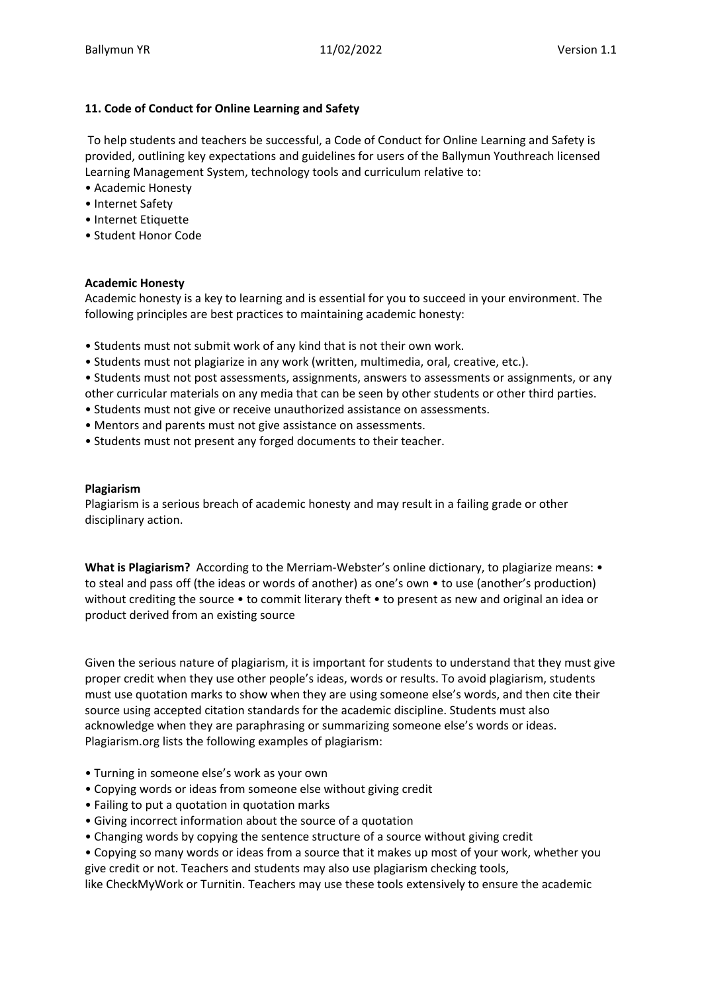# **11. Code of Conduct for Online Learning and Safety**

To help students and teachers be successful, a Code of Conduct for Online Learning and Safety is provided, outlining key expectations and guidelines for users of the Ballymun Youthreach licensed Learning Management System, technology tools and curriculum relative to:

- Academic Honesty
- Internet Safety
- Internet Etiquette
- Student Honor Code

# **Academic Honesty**

Academic honesty is a key to learning and is essential for you to succeed in your environment. The following principles are best practices to maintaining academic honesty:

- Students must not submit work of any kind that is not their own work.
- Students must not plagiarize in any work (written, multimedia, oral, creative, etc.).
- Students must not post assessments, assignments, answers to assessments or assignments, or any other curricular materials on any media that can be seen by other students or other third parties.
- Students must not give or receive unauthorized assistance on assessments.
- Mentors and parents must not give assistance on assessments.
- Students must not present any forged documents to their teacher.

#### **Plagiarism**

Plagiarism is a serious breach of academic honesty and may result in a failing grade or other disciplinary action.

**What is Plagiarism?** According to the Merriam-Webster's online dictionary, to plagiarize means: • to steal and pass off (the ideas or words of another) as one's own • to use (another's production) without crediting the source • to commit literary theft • to present as new and original an idea or product derived from an existing source

Given the serious nature of plagiarism, it is important for students to understand that they must give proper credit when they use other people's ideas, words or results. To avoid plagiarism, students must use quotation marks to show when they are using someone else's words, and then cite their source using accepted citation standards for the academic discipline. Students must also acknowledge when they are paraphrasing or summarizing someone else's words or ideas. Plagiarism.org lists the following examples of plagiarism:

- Turning in someone else's work as your own
- Copying words or ideas from someone else without giving credit
- Failing to put a quotation in quotation marks
- Giving incorrect information about the source of a quotation
- Changing words by copying the sentence structure of a source without giving credit
- Copying so many words or ideas from a source that it makes up most of your work, whether you give credit or not. Teachers and students may also use plagiarism checking tools,

like CheckMyWork or Turnitin. Teachers may use these tools extensively to ensure the academic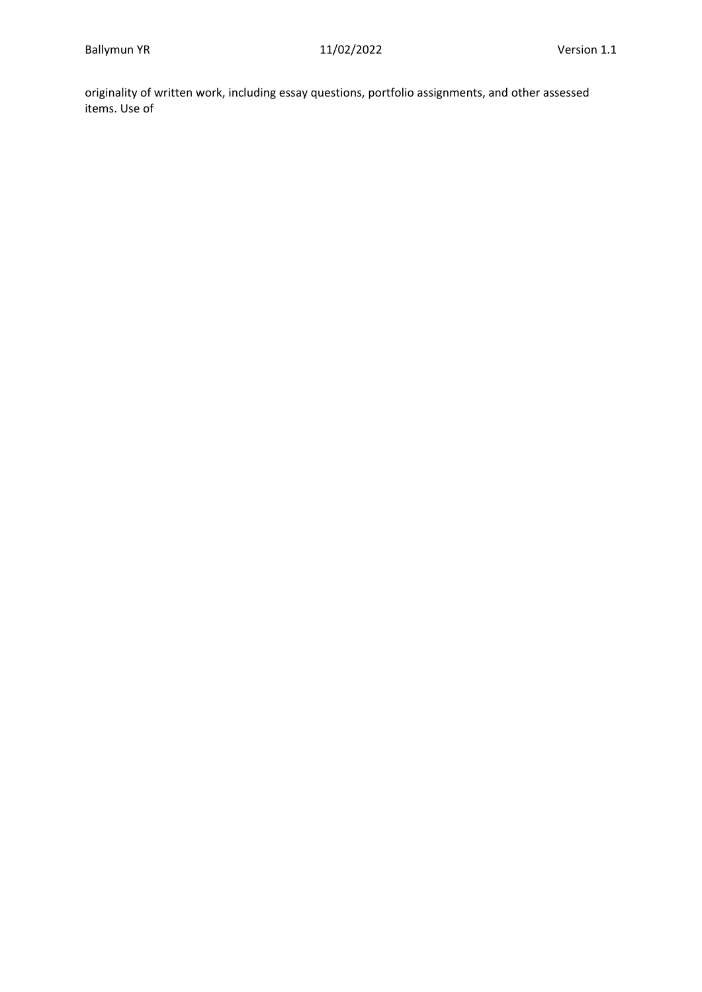originality of written work, including essay questions, portfolio assignments, and other assessed items. Use of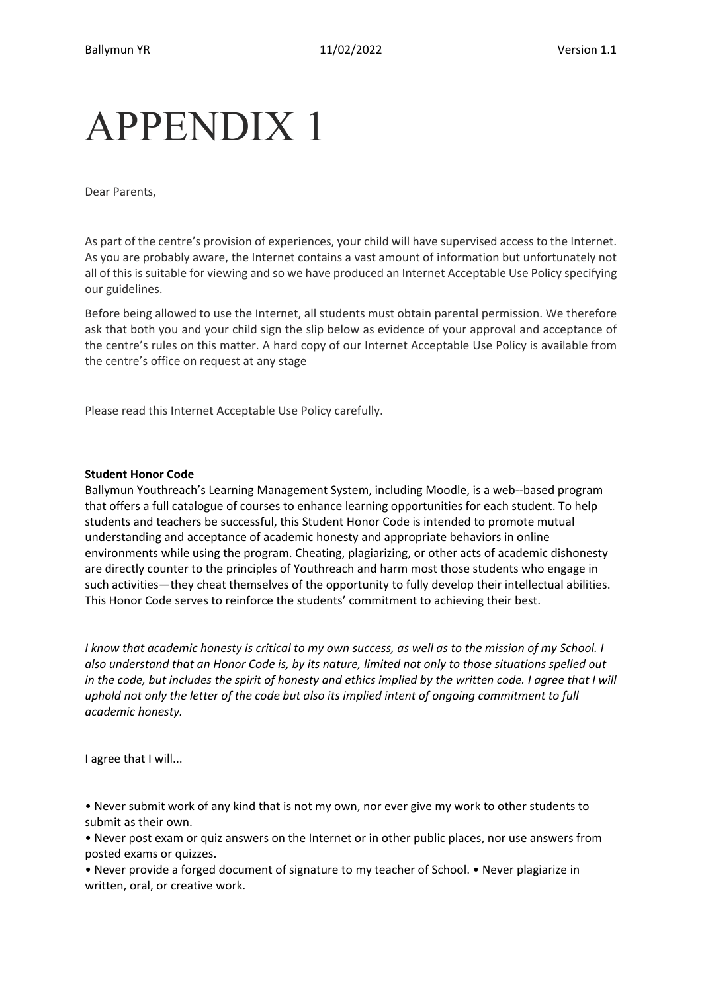# APPENDIX 1

Dear Parents,

As part of the centre's provision of experiences, your child will have supervised access to the Internet. As you are probably aware, the Internet contains a vast amount of information but unfortunately not all of this is suitable for viewing and so we have produced an Internet Acceptable Use Policy specifying our guidelines.

Before being allowed to use the Internet, all students must obtain parental permission. We therefore ask that both you and your child sign the slip below as evidence of your approval and acceptance of the centre's rules on this matter. A hard copy of our Internet Acceptable Use Policy is available from the centre's office on request at any stage

Please read this Internet Acceptable Use Policy carefully.

#### **Student Honor Code**

Ballymun Youthreach's Learning Management System, including Moodle, is a web--based program that offers a full catalogue of courses to enhance learning opportunities for each student. To help students and teachers be successful, this Student Honor Code is intended to promote mutual understanding and acceptance of academic honesty and appropriate behaviors in online environments while using the program. Cheating, plagiarizing, or other acts of academic dishonesty are directly counter to the principles of Youthreach and harm most those students who engage in such activities—they cheat themselves of the opportunity to fully develop their intellectual abilities. This Honor Code serves to reinforce the students' commitment to achieving their best.

*I know that academic honesty is critical to my own success, as well as to the mission of my School. I also understand that an Honor Code is, by its nature, limited not only to those situations spelled out in the code, but includes the spirit of honesty and ethics implied by the written code. I agree that I will uphold not only the letter of the code but also its implied intent of ongoing commitment to full academic honesty.*

I agree that I will...

• Never submit work of any kind that is not my own, nor ever give my work to other students to submit as their own.

• Never post exam or quiz answers on the Internet or in other public places, nor use answers from posted exams or quizzes.

• Never provide a forged document of signature to my teacher of School. • Never plagiarize in written, oral, or creative work.